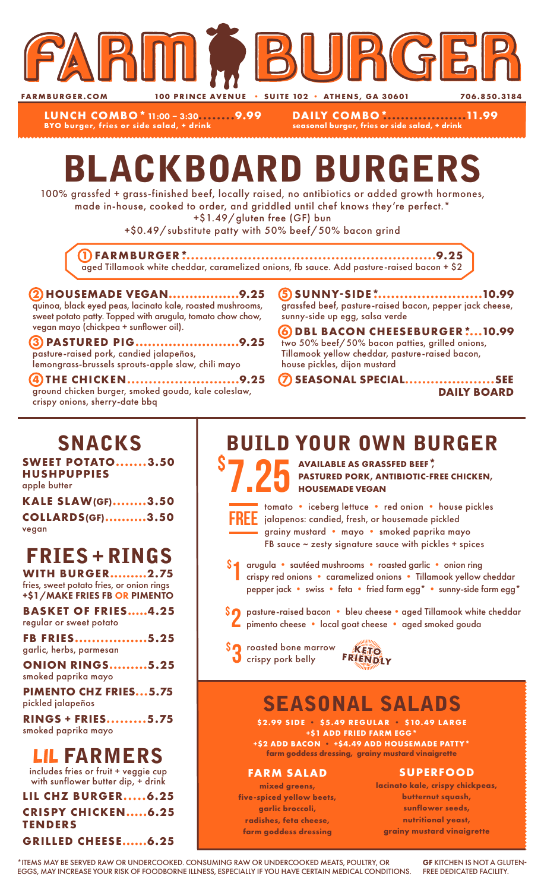

**LUNCH COMBO\***11:00 – 3:30**........9.99 BYO burger, fries or side salad, + drink**

**DAILY COMBO\*...................11.99 seasonal burger, fries or side salad, + drink**

# BLACKBOARD BURGERS

100% grassfed + grass-finished beef, locally raised, no antibiotics or added growth hormones, made in-house, cooked to order, and griddled until chef knows they're perfect.\*

+\$1.49/gluten free (GF) bun

+\$0.49/substitute patty with 50% beef/50% bacon grind

**1 FARMBURGER\*..........................................................9.25** aged Tillamook white cheddar, caramelized onions, fb sauce. Add pasture-raised bacon + \$2

#### **2 HOUSEMADE VEGAN.................9.25** quinoa, black eyed peas, lacinato kale, roasted mushrooms, sweet potato patty. Topped with arugula, tomato chow chow, vegan mayo (chickpea + sunflower oil).

**3 PASTURED PIG.........................9.25** pasture-raised pork, candied jalapeños, lemongrass-brussels sprouts-apple slaw, chili mayo

**4 THE CHICKEN..........................9.25** ground chicken burger, smoked gouda, kale coleslaw, crispy onions, sherry-date bbq

**5 SUNNY-SIDE\*.........................10.99** grassfed beef, pasture-raised bacon, pepper jack cheese, sunny-side up egg, salsa verde

**6 DBL BACON CHEESEBURGER\*....10.99** two 50% beef/50% bacon patties, grilled onions, Tillamook yellow cheddar, pasture-raised bacon, house pickles, dijon mustard

**7 SEASONAL SPECIAL.....................SEE DAILY BOARD**

## SNACKS

**SWEET POTATO.......3.50 HUSHPUPPIES** apple butter

| <b>KALE SLAW(GF)3.50</b> |  |
|--------------------------|--|
| <b>COLLARDS(GF)3.50</b>  |  |
| vegan                    |  |

# FRIES + RINGS

**WITH BURGER.........2.75** fries, sweet potato fries, or onion rings +\$1/MAKE FRIES FB OR PIMENTO

**BASKET OF FRIES.....4.25** regular or sweet potato

**FB FRIES.................5.25** garlic, herbs, parmesan

**ONION RINGS.........5.25** smoked paprika mayo

**PIMENTO CHZ FRIES...5.75** pickled jalapeños

**RINGS + FRIES.........5.75** smoked paprika mayo

LIL FARMERS

includes fries or fruit + veggie cup with sunflower butter dip, + drink

**LIL CHZ BURGER.....6.25 CRISPY CHICKEN.....6.25 TENDERS GRILLED CHEESE......6.25**

## BUILD YOUR OWN BURGER

7.25 \$ **AVAILABLE AS GRASSFED BEEF\*, PASTURED PORK, ANTIBIOTIC-FREE CHICKEN, HOUSEMADE VEGAN**



\$

tomato • iceberg lettuce • red onion • house pickles jalapenos: candied, fresh, or housemade pickled grainy mustard • mayo • smoked paprika mayo FB sauce  $\sim$  zesty signature sauce with pickles + spices

arugula • sautéed mushrooms • roasted garlic • onion ring crispy red onions • caramelized onions • Tillamook yellow cheddar pepper jack • swiss • feta • fried farm egg\* • sunny-side farm egg\* 1

\$2 pasture-raised bacon • bleu cheese • aged Tillamook white cheddar<br>Pimento cheese • local goat cheese • aged smoked gouda pimento cheese • local goat cheese • aged smoked gouda

**SO** roasted bone marrow **KETO**<br> **O** crispy pork belly FRIENDLY



# SEASONAL SALADS

**\$2.99 SIDE • \$5.49 REGULAR • \$10.49 LARGE +\$1 ADD FRIED FARM EGG\* +\$2 ADD BACON • +\$4.49 ADD HOUSEMADE PATTY\***

**farm goddess dressing, grainy mustard vinaigrette**

### **FARM SALAD**

**mixed greens, five-spiced yellow beets, garlic broccoli, radishes, feta cheese, farm goddess dressing**

### **SUPERFOOD**

**lacinato kale, crispy chickpeas, butternut squash, sunflower seeds, nutritional yeast, grainy mustard vinaigrette**

\*ITEMS MAY BE SERVED RAW OR UNDERCOOKED. CONSUMING RAW OR UNDERCOOKED MEATS, POULTRY, OR EGGS, MAY INCREASE YOUR RISK OF FOODBORNE ILLNESS, ESPECIALLY IF YOU HAVE CERTAIN MEDICAL CONDITIONS.

GF KITCHEN IS NOT A GLUTEN-FREE DEDICATED FACILITY.